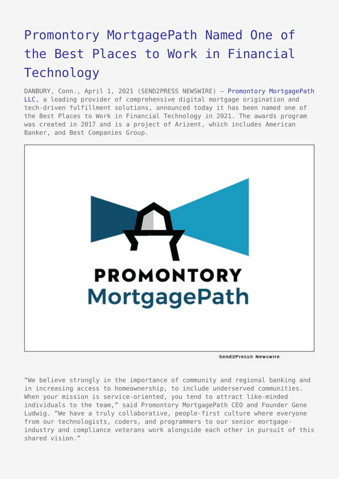## [Promontory MortgagePath Named One of](https://www.send2press.com/wire/promontory-mortgagepath-named-one-of-the-best-places-to-work-in-financial-technology/) [the Best Places to Work in Financial](https://www.send2press.com/wire/promontory-mortgagepath-named-one-of-the-best-places-to-work-in-financial-technology/) [Technology](https://www.send2press.com/wire/promontory-mortgagepath-named-one-of-the-best-places-to-work-in-financial-technology/)

DANBURY, Conn., April 1, 2021 (SEND2PRESS NEWSWIRE) - [Promontory MortgagePath](https://www.mortgagepath.com/) [LLC](https://www.mortgagepath.com/), a leading provider of comprehensive digital mortgage origination and tech-driven fulfillment solutions, announced today it has been named one of the Best Places to Work in Financial Technology in 2021. The awards program was created in 2017 and is a project of Arizent, which includes American Banker, and Best Companies Group.



"We believe strongly in the importance of community and regional banking and in increasing access to homeownership, to include underserved communities. When your mission is service-oriented, you tend to attract like-minded individuals to the team," said Promontory MortgagePath CEO and Founder Gene Ludwig. "We have a truly collaborative, people-first culture where everyone from our technologists, coders, and programmers to our senior mortgageindustry and compliance veterans work alongside each other in pursuit of this shared vision."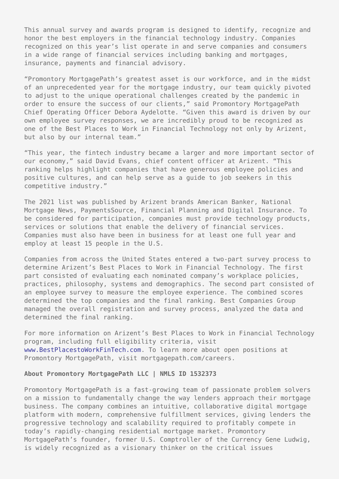This annual survey and awards program is designed to identify, recognize and honor the best employers in the financial technology industry. Companies recognized on this year's list operate in and serve companies and consumers in a wide range of financial services including banking and mortgages, insurance, payments and financial advisory.

"Promontory MortgagePath's greatest asset is our workforce, and in the midst of an unprecedented year for the mortgage industry, our team quickly pivoted to adjust to the unique operational challenges created by the pandemic in order to ensure the success of our clients," said Promontory MortgagePath Chief Operating Officer Debora Aydelotte. "Given this award is driven by our own employee survey responses, we are incredibly proud to be recognized as one of the Best Places to Work in Financial Technology not only by Arizent, but also by our internal team."

"This year, the fintech industry became a larger and more important sector of our economy," said David Evans, chief content officer at Arizent. "This ranking helps highlight companies that have generous employee policies and positive cultures, and can help serve as a guide to job seekers in this competitive industry."

The 2021 list was published by Arizent brands American Banker, National Mortgage News, PaymentsSource, Financial Planning and Digital Insurance. To be considered for participation, companies must provide technology products, services or solutions that enable the delivery of financial services. Companies must also have been in business for at least one full year and employ at least 15 people in the U.S.

Companies from across the United States entered a two-part survey process to determine Arizent's Best Places to Work in Financial Technology. The first part consisted of evaluating each nominated company's workplace policies, practices, philosophy, systems and demographics. The second part consisted of an employee survey to measure the employee experience. The combined scores determined the top companies and the final ranking. Best Companies Group managed the overall registration and survey process, analyzed the data and determined the final ranking.

For more information on Arizent's Best Places to Work in Financial Technology program, including full eligibility criteria, visit [www.BestPlacestoWorkFinTech.com.](http://www.bestplacestoworkfintech.com) To learn more about open positions at Promontory MortgagePath, visit mortgagepath.com/careers.

## **About Promontory MortgagePath LLC | NMLS ID 1532373**

Promontory MortgagePath is a fast-growing team of passionate problem solvers on a mission to fundamentally change the way lenders approach their mortgage business. The company combines an intuitive, collaborative digital mortgage platform with modern, comprehensive fulfillment services, giving lenders the progressive technology and scalability required to profitably compete in today's rapidly-changing residential mortgage market. Promontory MortgagePath's founder, former U.S. Comptroller of the Currency Gene Ludwig, is widely recognized as a visionary thinker on the critical issues